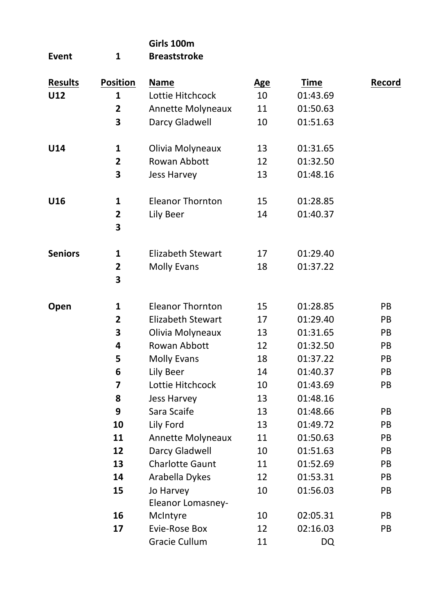|                 |                              | Girls 100m                     |            |             |        |
|-----------------|------------------------------|--------------------------------|------------|-------------|--------|
| Event           | $\mathbf{1}$                 | <b>Breaststroke</b>            |            |             |        |
| <b>Results</b>  | <b>Position</b>              | <b>Name</b>                    | <u>Age</u> | <b>Time</b> | Record |
| U12             | 1                            | Lottie Hitchcock               | 10         | 01:43.69    |        |
|                 | 2                            | Annette Molyneaux              | 11         | 01:50.63    |        |
|                 | 3                            | Darcy Gladwell                 | 10         | 01:51.63    |        |
| U14             | 1                            | Olivia Molyneaux               | 13         | 01:31.65    |        |
|                 | $\overline{2}$               | Rowan Abbott                   | 12         | 01:32.50    |        |
|                 | 3                            | Jess Harvey                    | 13         | 01:48.16    |        |
| U <sub>16</sub> | 1                            | <b>Eleanor Thornton</b>        | 15         | 01:28.85    |        |
|                 | $\overline{\mathbf{2}}$<br>3 | Lily Beer                      | 14         | 01:40.37    |        |
| <b>Seniors</b>  | 1                            | <b>Elizabeth Stewart</b>       | 17         | 01:29.40    |        |
|                 | $\overline{2}$               | <b>Molly Evans</b>             | 18         | 01:37.22    |        |
|                 | 3                            |                                |            |             |        |
| Open            | 1                            | <b>Eleanor Thornton</b>        | 15         | 01:28.85    | PB     |
|                 | 2                            | Elizabeth Stewart              | 17         | 01:29.40    | PB     |
|                 | 3                            | Olivia Molyneaux               | 13         | 01:31.65    | PB     |
|                 | 4                            | Rowan Abbott                   | 12         | 01:32.50    | PB     |
|                 | 5                            | Molly Evans                    | 18         | 01:37.22    | PB     |
|                 | 6                            | Lily Beer                      | 14         | 01:40.37    | PB     |
|                 | 7                            | Lottie Hitchcock               | 10         | 01:43.69    | PB     |
|                 | 8                            | Jess Harvey                    | 13         | 01:48.16    |        |
|                 | 9                            | Sara Scaife                    | 13         | 01:48.66    | PB     |
|                 | 10                           | Lily Ford                      | 13         | 01:49.72    | PB     |
|                 | 11                           | Annette Molyneaux              | 11         | 01:50.63    | PB     |
|                 | 12                           | Darcy Gladwell                 | 10         | 01:51.63    | PB     |
|                 | 13                           | Charlotte Gaunt                | 11         | 01:52.69    | PB     |
|                 | 14                           | Arabella Dykes                 | 12         | 01:53.31    | PB     |
|                 | 15                           | Jo Harvey<br>Eleanor Lomasney- | 10         | 01:56.03    | PB     |
|                 | 16                           | McIntyre                       | 10         | 02:05.31    | PB     |
|                 | 17                           | Evie-Rose Box                  | 12         | 02:16.03    | PB     |
|                 |                              | <b>Gracie Cullum</b>           | 11         | DQ          |        |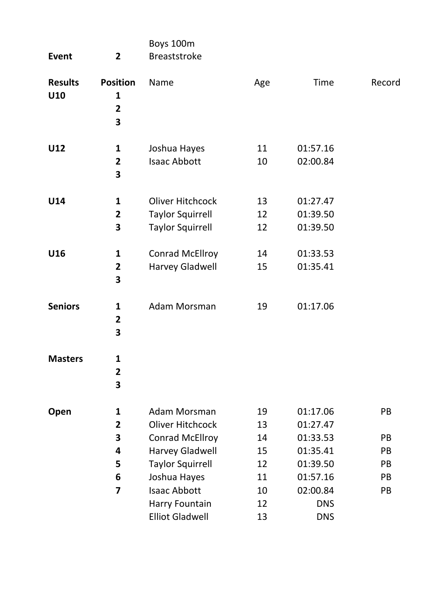| Event                 | $\mathbf{2}$                                                    | Boys 100m<br><b>Breaststroke</b>                                       |                |                                  |          |
|-----------------------|-----------------------------------------------------------------|------------------------------------------------------------------------|----------------|----------------------------------|----------|
| <b>Results</b><br>U10 | <b>Position</b><br>$\mathbf{1}$<br>$\overline{\mathbf{2}}$<br>3 | Name                                                                   | Age            | Time                             | Record   |
| U12                   | 1<br>$\overline{\mathbf{2}}$<br>3                               | Joshua Hayes<br><b>Isaac Abbott</b>                                    | 11<br>10       | 01:57.16<br>02:00.84             |          |
| U14                   | 1<br>2<br>3                                                     | Oliver Hitchcock<br><b>Taylor Squirrell</b><br><b>Taylor Squirrell</b> | 13<br>12<br>12 | 01:27.47<br>01:39.50<br>01:39.50 |          |
| U16                   | 1<br>$\overline{\mathbf{2}}$<br>3                               | Conrad McEllroy<br>Harvey Gladwell                                     | 14<br>15       | 01:33.53<br>01:35.41             |          |
| <b>Seniors</b>        | 1<br>$\overline{\mathbf{2}}$<br>3                               | Adam Morsman                                                           | 19             | 01:17.06                         |          |
| <b>Masters</b>        | 1<br>$\overline{\mathbf{2}}$<br>3                               |                                                                        |                |                                  |          |
| Open                  | 1<br>2                                                          | Adam Morsman<br>Oliver Hitchcock                                       | 19<br>13       | 01:17.06<br>01:27.47             | PB       |
|                       | 3                                                               | Conrad McEllroy                                                        | 14             | 01:33.53                         | PB       |
|                       | 4                                                               | Harvey Gladwell                                                        | 15             | 01:35.41                         | PB       |
|                       | 5                                                               | <b>Taylor Squirrell</b>                                                | 12             | 01:39.50                         | PB       |
|                       | 6<br>7                                                          | Joshua Hayes<br><b>Isaac Abbott</b>                                    | 11<br>10       | 01:57.16<br>02:00.84             | PB<br>PB |
|                       |                                                                 | Harry Fountain                                                         | 12             | <b>DNS</b>                       |          |
|                       |                                                                 | <b>Elliot Gladwell</b>                                                 | 13             | <b>DNS</b>                       |          |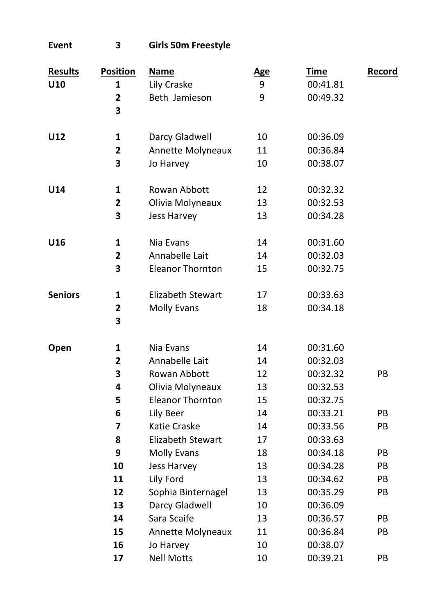| Event          | 3                            | <b>Girls 50m Freestyle</b> |            |             |               |
|----------------|------------------------------|----------------------------|------------|-------------|---------------|
| <b>Results</b> | <b>Position</b>              | <u>Name</u>                | <u>Age</u> | <u>Time</u> | <u>Record</u> |
| U10            | 1                            | Lily Craske                | 9          | 00:41.81    |               |
|                | $\overline{\mathbf{2}}$<br>3 | Beth Jamieson              | 9          | 00:49.32    |               |
| U12            | $\mathbf{1}$                 | Darcy Gladwell             | 10         | 00:36.09    |               |
|                | 2                            | Annette Molyneaux          | 11         | 00:36.84    |               |
|                | 3                            | Jo Harvey                  | 10         | 00:38.07    |               |
| U14            | 1                            | Rowan Abbott               | 12         | 00:32.32    |               |
|                | $\overline{\mathbf{c}}$      | Olivia Molyneaux           | 13         | 00:32.53    |               |
|                | 3                            | Jess Harvey                | 13         | 00:34.28    |               |
| U16            | $\mathbf{1}$                 | Nia Evans                  | 14         | 00:31.60    |               |
|                | $\overline{2}$               | Annabelle Lait             | 14         | 00:32.03    |               |
|                | 3                            | <b>Eleanor Thornton</b>    | 15         | 00:32.75    |               |
| <b>Seniors</b> | 1                            | Elizabeth Stewart          | 17         | 00:33.63    |               |
|                | $\overline{2}$<br>3          | <b>Molly Evans</b>         | 18         | 00:34.18    |               |
| Open           | 1                            | Nia Evans                  | 14         | 00:31.60    |               |
|                | $\overline{2}$               | Annabelle Lait             | 14         | 00:32.03    |               |
|                | 3                            | Rowan Abbott               | 12         | 00:32.32    | PB            |
|                | 4                            | Olivia Molyneaux           | 13         | 00:32.53    |               |
|                | 5                            | <b>Eleanor Thornton</b>    | 15         | 00:32.75    |               |
|                | 6                            | Lily Beer                  | 14         | 00:33.21    | PB            |
|                | 7                            | Katie Craske               | 14         | 00:33.56    | PB            |
|                | 8                            | <b>Elizabeth Stewart</b>   | 17         | 00:33.63    |               |
|                | 9                            | <b>Molly Evans</b>         | 18         | 00:34.18    | PB            |
|                | 10                           | Jess Harvey                | 13         | 00:34.28    | PB            |
|                | 11                           | Lily Ford                  | 13         | 00:34.62    | PB            |
|                | 12                           | Sophia Binternagel         | 13         | 00:35.29    | PB            |
|                | 13                           | Darcy Gladwell             | 10         | 00:36.09    |               |
|                | 14                           | Sara Scaife                | 13         | 00:36.57    | PB            |
|                | 15                           | Annette Molyneaux          | 11         | 00:36.84    | PB            |
|                | 16                           | Jo Harvey                  | 10         | 00:38.07    |               |
|                | 17                           | <b>Nell Motts</b>          | 10         | 00:39.21    | PB            |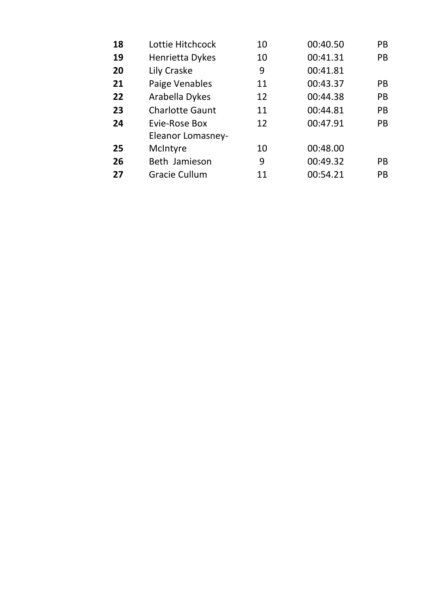| 18 | Lottie Hitchcock       | 10 | 00:40.50 | PB. |
|----|------------------------|----|----------|-----|
| 19 | Henrietta Dykes        | 10 | 00:41.31 | PB  |
| 20 | Lily Craske            | 9  | 00:41.81 |     |
| 21 | Paige Venables         | 11 | 00:43.37 | PB. |
| 22 | Arabella Dykes         | 12 | 00:44.38 | PB  |
| 23 | <b>Charlotte Gaunt</b> | 11 | 00:44.81 | PB  |
| 24 | Evie-Rose Box          | 12 | 00:47.91 | PB. |
|    | Eleanor Lomasney-      |    |          |     |
| 25 | McIntyre               | 10 | 00:48.00 |     |
| 26 | Beth Jamieson          | 9  | 00:49.32 | PB. |
| 27 | Gracie Cullum          | 11 | 00:54.21 | PB  |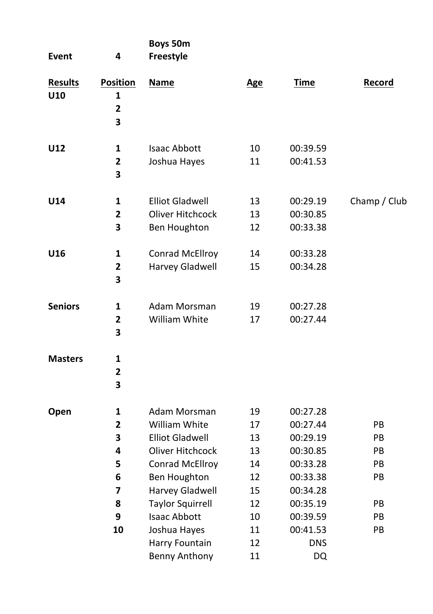| Event                 | 4                                                            | Boys 50m<br>Freestyle                                                                                                                                                                                                        |                                                                |                                                                                                                                    |                                               |
|-----------------------|--------------------------------------------------------------|------------------------------------------------------------------------------------------------------------------------------------------------------------------------------------------------------------------------------|----------------------------------------------------------------|------------------------------------------------------------------------------------------------------------------------------------|-----------------------------------------------|
| <b>Results</b><br>U10 | <b>Position</b><br>1<br>$\overline{\mathbf{c}}$<br>3         | <b>Name</b>                                                                                                                                                                                                                  | Age                                                            | <b>Time</b>                                                                                                                        | Record                                        |
| U12                   | 1<br>$\overline{\mathbf{2}}$<br>3                            | <b>Isaac Abbott</b><br>Joshua Hayes                                                                                                                                                                                          | 10<br>11                                                       | 00:39.59<br>00:41.53                                                                                                               |                                               |
| U14                   | 1<br>$\overline{\mathbf{2}}$<br>3                            | <b>Elliot Gladwell</b><br>Oliver Hitchcock<br>Ben Houghton                                                                                                                                                                   | 13<br>13<br>12                                                 | 00:29.19<br>00:30.85<br>00:33.38                                                                                                   | Champ / Club                                  |
| U16                   | 1<br>$\overline{2}$<br>3                                     | <b>Conrad McEllroy</b><br>Harvey Gladwell                                                                                                                                                                                    | 14<br>15                                                       | 00:33.28<br>00:34.28                                                                                                               |                                               |
| <b>Seniors</b>        | $\mathbf{1}$<br>$\overline{2}$<br>3                          | Adam Morsman<br>William White                                                                                                                                                                                                | 19<br>17                                                       | 00:27.28<br>00:27.44                                                                                                               |                                               |
| <b>Masters</b>        | 1<br>2<br>3                                                  |                                                                                                                                                                                                                              |                                                                |                                                                                                                                    |                                               |
| Open                  | 1<br>$\overline{2}$<br>3<br>4<br>5<br>6<br>7<br>8<br>9<br>10 | Adam Morsman<br>William White<br><b>Elliot Gladwell</b><br>Oliver Hitchcock<br><b>Conrad McEllroy</b><br>Ben Houghton<br>Harvey Gladwell<br><b>Taylor Squirrell</b><br><b>Isaac Abbott</b><br>Joshua Hayes<br>Harry Fountain | 19<br>17<br>13<br>13<br>14<br>12<br>15<br>12<br>10<br>11<br>12 | 00:27.28<br>00:27.44<br>00:29.19<br>00:30.85<br>00:33.28<br>00:33.38<br>00:34.28<br>00:35.19<br>00:39.59<br>00:41.53<br><b>DNS</b> | PB<br>PB<br>PB<br>PB.<br>PB<br>PB<br>PB<br>PB |
|                       |                                                              | <b>Benny Anthony</b>                                                                                                                                                                                                         | 11                                                             | DQ                                                                                                                                 |                                               |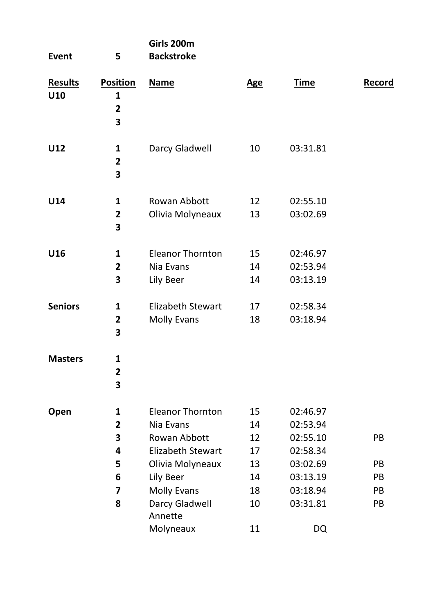| Event                 | 5                                                          | Girls 200m<br><b>Backstroke</b>                                                                                                                        |                                              |                                                                                              |                            |
|-----------------------|------------------------------------------------------------|--------------------------------------------------------------------------------------------------------------------------------------------------------|----------------------------------------------|----------------------------------------------------------------------------------------------|----------------------------|
| <b>Results</b><br>U10 | <b>Position</b><br>1<br>$\overline{\mathbf{c}}$<br>3       | <b>Name</b>                                                                                                                                            | <b>Age</b>                                   | <b>Time</b>                                                                                  | Record                     |
| U12                   | 1<br>$\overline{\mathbf{2}}$<br>3                          | Darcy Gladwell                                                                                                                                         | 10                                           | 03:31.81                                                                                     |                            |
| U14                   | 1<br>$\overline{2}$<br>3                                   | Rowan Abbott<br>Olivia Molyneaux                                                                                                                       | 12<br>13                                     | 02:55.10<br>03:02.69                                                                         |                            |
| U16                   | $\mathbf{1}$<br>$\overline{\mathbf{2}}$<br>3               | <b>Eleanor Thornton</b><br>Nia Evans<br>Lily Beer                                                                                                      | 15<br>14<br>14                               | 02:46.97<br>02:53.94<br>03:13.19                                                             |                            |
| <b>Seniors</b>        | $\mathbf{1}$<br>$\overline{\mathbf{2}}$<br>3               | Elizabeth Stewart<br>Molly Evans                                                                                                                       | 17<br>18                                     | 02:58.34<br>03:18.94                                                                         |                            |
| <b>Masters</b>        | 1<br>$\overline{\mathbf{2}}$<br>3                          |                                                                                                                                                        |                                              |                                                                                              |                            |
| Open                  | 1<br>$\overline{\mathbf{2}}$<br>3<br>4<br>5<br>6<br>7<br>8 | <b>Eleanor Thornton</b><br>Nia Evans<br>Rowan Abbott<br>Elizabeth Stewart<br>Olivia Molyneaux<br>Lily Beer<br>Molly Evans<br>Darcy Gladwell<br>Annette | 15<br>14<br>12<br>17<br>13<br>14<br>18<br>10 | 02:46.97<br>02:53.94<br>02:55.10<br>02:58.34<br>03:02.69<br>03:13.19<br>03:18.94<br>03:31.81 | PB<br>PB<br>PB<br>PB<br>PB |
|                       |                                                            | Molyneaux                                                                                                                                              | 11                                           | DQ                                                                                           |                            |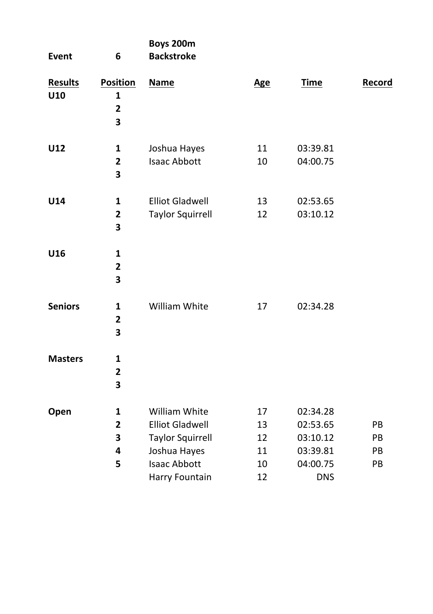| Event                 | 6                                                    | Boys 200m<br><b>Backstroke</b>                                                     |                      |                                              |                       |
|-----------------------|------------------------------------------------------|------------------------------------------------------------------------------------|----------------------|----------------------------------------------|-----------------------|
| <b>Results</b><br>U10 | <b>Position</b><br>$\mathbf{1}$<br>$\mathbf{2}$<br>3 | <b>Name</b>                                                                        | <b>Age</b>           | <b>Time</b>                                  | Record                |
| U12                   | $\mathbf 1$<br>$\mathbf{2}$<br>3                     | Joshua Hayes<br><b>Isaac Abbott</b>                                                | 11<br>10             | 03:39.81<br>04:00.75                         |                       |
| U14                   | $\mathbf{1}$<br>$\mathbf{2}$<br>3                    | <b>Elliot Gladwell</b><br><b>Taylor Squirrell</b>                                  | 13<br>12             | 02:53.65<br>03:10.12                         |                       |
| U16                   | $\mathbf{1}$<br>$\mathbf{2}$<br>3                    |                                                                                    |                      |                                              |                       |
| <b>Seniors</b>        | $\mathbf{1}$<br>$\mathbf{2}$<br>3                    | William White                                                                      | 17                   | 02:34.28                                     |                       |
| <b>Masters</b>        | $\mathbf{1}$<br>$\mathbf{2}$<br>3                    |                                                                                    |                      |                                              |                       |
| Open                  | $\mathbf{1}$<br>$\overline{2}$<br>3<br>4             | William White<br><b>Elliot Gladwell</b><br><b>Taylor Squirrell</b><br>Joshua Hayes | 17<br>13<br>12<br>11 | 02:34.28<br>02:53.65<br>03:10.12<br>03:39.81 | <b>PB</b><br>PB<br>PB |
|                       | 5                                                    | <b>Isaac Abbott</b><br>Harry Fountain                                              | 10<br>12             | 04:00.75<br><b>DNS</b>                       | PB                    |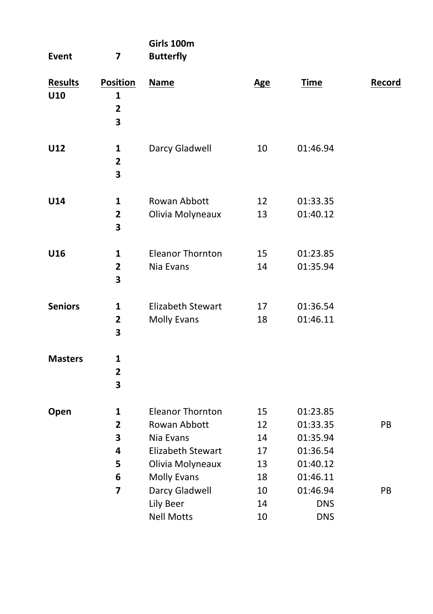| Event                 | 7                                                      | Girls 100m<br><b>Butterfly</b>                                                                                                                     |                                              |                                                                                                |          |
|-----------------------|--------------------------------------------------------|----------------------------------------------------------------------------------------------------------------------------------------------------|----------------------------------------------|------------------------------------------------------------------------------------------------|----------|
| <b>Results</b><br>U10 | <b>Position</b><br>$\mathbf{1}$<br>$\overline{2}$<br>3 | <b>Name</b>                                                                                                                                        | <b>Age</b>                                   | <b>Time</b>                                                                                    | Record   |
| U12                   | 1<br>$\overline{2}$<br>3                               | Darcy Gladwell                                                                                                                                     | 10                                           | 01:46.94                                                                                       |          |
| U14                   | 1<br>$\overline{\mathbf{2}}$<br>3                      | Rowan Abbott<br>Olivia Molyneaux                                                                                                                   | 12<br>13                                     | 01:33.35<br>01:40.12                                                                           |          |
| U16                   | 1<br>$\overline{\mathbf{2}}$<br>3                      | <b>Eleanor Thornton</b><br>Nia Evans                                                                                                               | 15<br>14                                     | 01:23.85<br>01:35.94                                                                           |          |
| <b>Seniors</b>        | 1<br>$\overline{\mathbf{2}}$<br>3                      | Elizabeth Stewart<br>Molly Evans                                                                                                                   | 17<br>18                                     | 01:36.54<br>01:46.11                                                                           |          |
| <b>Masters</b>        | 1<br>$\overline{\mathbf{2}}$<br>3                      |                                                                                                                                                    |                                              |                                                                                                |          |
| Open                  | 1<br>2<br>3<br>4<br>5<br>6<br>7                        | <b>Eleanor Thornton</b><br>Rowan Abbott<br>Nia Evans<br>Elizabeth Stewart<br>Olivia Molyneaux<br><b>Molly Evans</b><br>Darcy Gladwell<br>Lily Beer | 15<br>12<br>14<br>17<br>13<br>18<br>10<br>14 | 01:23.85<br>01:33.35<br>01:35.94<br>01:36.54<br>01:40.12<br>01:46.11<br>01:46.94<br><b>DNS</b> | PB<br>PB |
|                       |                                                        | <b>Nell Motts</b>                                                                                                                                  | 10                                           | <b>DNS</b>                                                                                     |          |